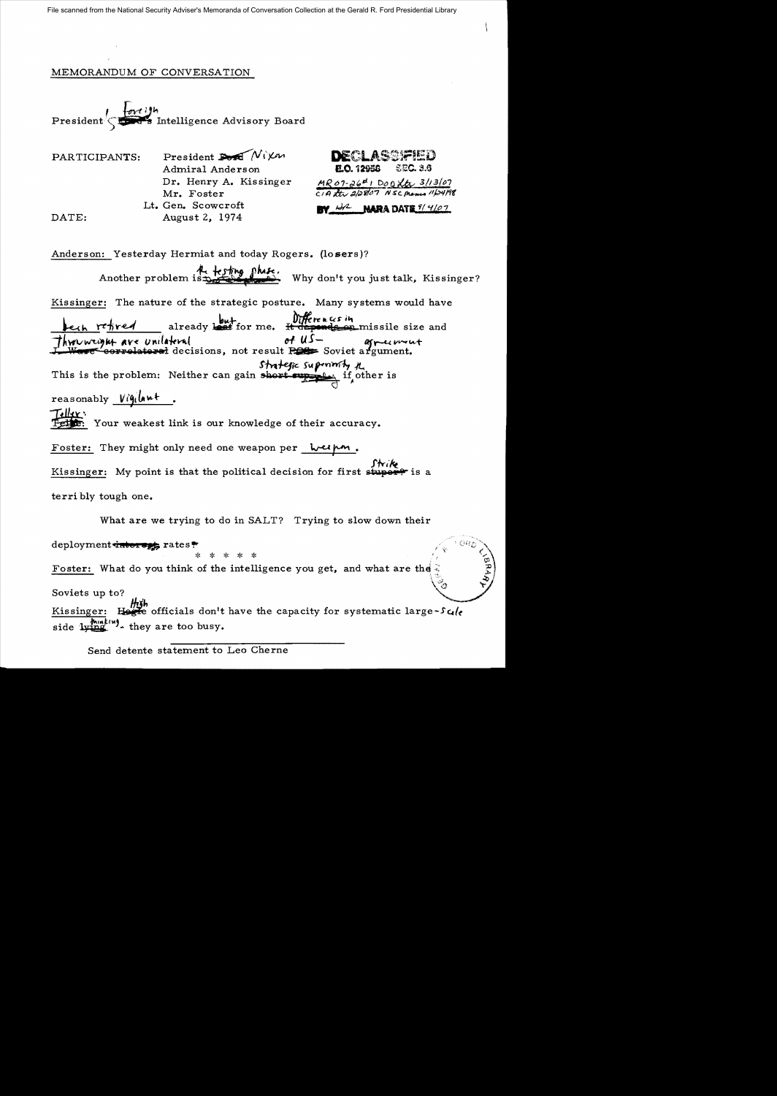## MEMORANDUM OF CONVERSATION

President  $\sqrt{\frac{\{m^{\prime}\}}{2}}$  intelligence Advisory Board

| President $\sum_{k} \mathcal{N}(k)$ |
|-------------------------------------|
| Admiral Anderson                    |
| Dr. Henry A. Kissinger              |
| Mr. Foster                          |
| Lt. Gen. Scowcroft                  |
| August 2, 1974                      |
|                                     |



Anderson: Yesterday Hermiat and today Rogers. (losers)? Another problem is the fing phise.<br>Why don't you just talk, Kissinger? Kissinger: The nature of the strategic posture. Many systems would have but **but**<br>already leaf for me. It depends on missile size and *Ave* Unilateral **of US-** agreement strategic superimity the This is the problem: Neither can gain short  $\frac{1}{\sqrt{2}}$  if other is  $reasonably$  Vigilant. Teller: Fethe: Your weakest link is our knowledge of their accuracy. Foster: They might only need one weapon per welp. Kissinger: My point is that the political decision for first stuper terri bly tough one.

What are we trying to do in SALT? Trying to slow down their

## deployment interverse rates?

Foster: What do you think of the intelligence you get, and what are the

## Soviets up to?

Kissinger: Here officials don't have the capacity for systematic large-Scole side  $1$   $\frac{1}{2}$   $\frac{1}{2}$  they are too busy.

Send detente statement to Leo Cherne